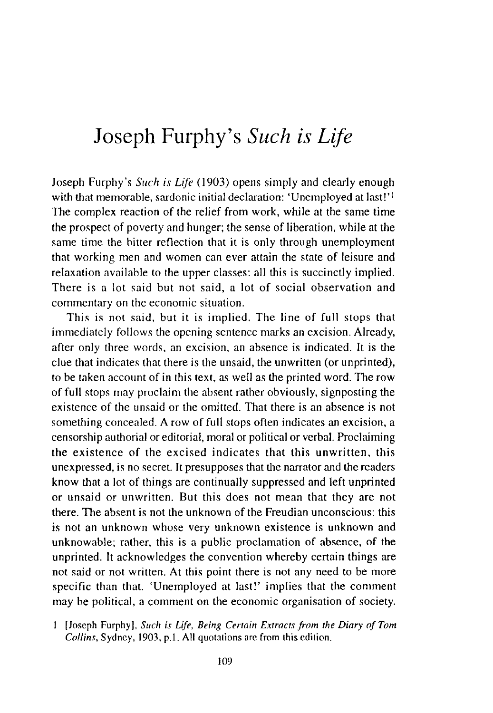# Joseph Furphy's *Such is Life*

Joseph Furphy's *Such is Life* (1903) opens simply and clearly enough with that memorable, sardonic initial declaration: 'Unemployed at last!'<sup>1</sup> The complex reaction of the relief from work, while at the same time the prospect of poverty nnd hunger; the sense of liberntion, while at the same time the hitter reflection that it is only through unemployment that working men nnd women can ever attain the state of leisure and relaxation available to the upper classes: all this is succinctly implied. There is a lot said but not said, a lot of social observation and commentary on the economic situation.

This is not said, but it is implied. The line of full stops that immediately follows the opening sentence marks an excision. Already, after only three words, an excision, an absence is indicated. It is the clue that indicates that there is the unsaid, the unwritten (or unprinted), to be taken account of in this text, as well as the printed word. The row of full stops may proclaim the absent rather obviously, signposting the existence of the unsaid or the omitted. That there is an absence is not something concealed. A row of full stops often indicates an excision, a censorship authorial or editorial, moral or political or verbal. Proclaiming the existence of the excised indicates that this unwritten, this unexpressed, is no secret. It presupposes that the narrator and the readers know that a lot of things are continually suppressed and left unprinted or unsaid or unwritten. But this does not mean that they are not there. The absent is not the unknown of the Freudian unconscious: this is not an unknown whose very unknown existence is unknown and unknowable; rather, this is a public proclamation of absence, of the unprinted. It acknowledges the convention whereby certain things are not said or not written. At this point there is not any need to be more specific than that. 'Unemployed at last!' implies that the comment may be political, a comment on the economic organisation of society.

<sup>[</sup>Joseph Furphy], *Such is Life, Being Certain Extracts from the Diary of Tom Collins,* Sydney, 1903, p.l. All quotations arc from this edition.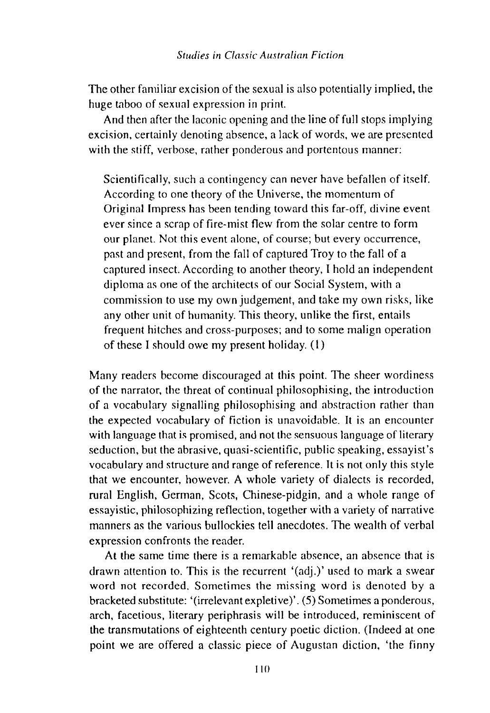The other familiar excision of the sexual is also potentially implied, the huge taboo of sexual expression in print.

And then after the laconic opening and the line of full stops implying excision, certainly denoting absence, a lack of words, we are presented with the stiff, verbose, rather ponderous and portentous manner:

Scientifically, such a contingency can never have befallen of itself. According to one theory of the Universe, the momentum of Original Impress has been tending toward this far-off, divine event ever since a scrap of fire-mist flew from the solar centre to form our planet. Not this event alone, of course; but every occurrence, past and present, from the fall of captured Troy to the fall of a captured insect. According to another theory, I hold an independent diploma as one of the architects of our Social System, with a commission to use my own judgement, and take my own risks, like any other unit of humanity. This theory, unlike the first, entails frequent hitches and cross-purposes; and to some malign operation of these I should owe my present holiday. (I)

Many readers become discouraged at this point. The sheer wordiness of the narrator, the threat of continual philosophising, the introduction of a vocabulary signalling philosophising and abstraction rather than the expected vocabulary of fiction is unavoidable. It is an encounter with language that is promised, and not the sensuous language of literary seduction, but the abrasive, quasi-scientific, public speaking, essayist's vocabulary and structure and range of reference. It is not only this style that we encounter, however. A whole variety of dialects is recorded, rural English, German, Scots, Chinese-pidgin, and a whole range of essayistic, philosophizing reflection, together with a variety of narrative manners as the various bullockies tell anecdotes. The wealth of verbal expression confronts the reader.

At the same time there is a remarkable absence, an absence that is drawn attention to. This is the recurrent '(adj.)' used to mark a swear word not recorded. Sometimes the missing word is denoted by a bracketed substitute: '(irrelevant expletive)'. (5) Sometimes a ponderous, arch, facetious, literary periphrasis will be introduced, reminiscent of the transmutations of eighteenth century poetic diction. (Indeed at one point we are offered a classic piece of Augustan diction, 'the finny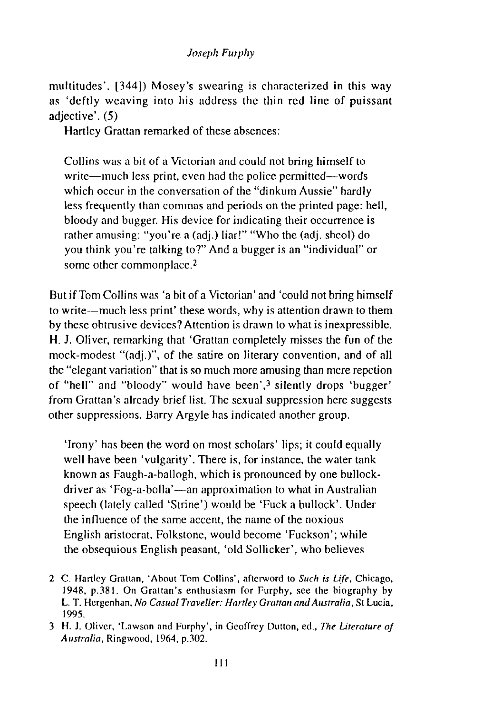multitudes'. [344]) Mosey's swearing is characterized in this way as 'deftly weaving into his address the thin red line of puissant adjective'. (5)

Hartley Grattan remarked of these absences:

Collins was a bit of a Victorian and could not bring himself to write—much less print, even had the police permitted—words which occur in the conversation of the "dinkum Aussie" hardly less frequently than commas and periods on the printed page: hell, bloody and bugger. His device for indicating their occurrence is rather amusing: "you're a (adj.) liar!" "Who the (adj. sheol) do you think you're talking to?" And a bugger is an "individual" or some other commonplace.<sup>2</sup>

But if Tom Collins was 'a bit of a Victorian' and 'could not bring himself to write-much less print' these words, why is attention drawn to them by these obtrusive devices? Attention is drawn to what is inexpressible. H. J. Oliver, remarking that 'Grattan completely misses the fun of the mock-modest "(adj.)", of the satire on literary convention, and of all the "elegant variation" that is so much more amusing than mere repetion of "hell" and "bloody" would have been',3 silently drops 'bugger' from Grattan's already brief list. The sexual suppression here suggests other suppressions. Barry Argyle has indicated another group.

'Irony' has been the word on most scholars' lips; it could equally well have been 'vulgarity'. There is, for instance, the water tank known as Faugh-a-ballogh, which is pronounced by one bullockdriver as 'Fog-a-bolla'-an approximation to what in Australian speech (lately called 'Strine') would be 'Fuck a bullock'. Under the influence of the same accent, the name of the noxious English aristocrat, Folkstone, would become 'Fuckson'; while the obsequious English peasant, 'old Sollicker', who believes

2 C. Hartley Grattan, 'About Tom Collins', afterword to *Such is Life,* Chicago, 1948, p.381. On Grattan's enthusiasm for Furphy, see the biography by L. T. Hergcnhan, *No Casual Traveller: Hartley Grattan and Australia,* St Lucia, 1995.

<sup>3</sup> H. J. Oliver, 'Lawson and Furphy', in Geoffrey Dutton, ed., *The Literature of Australia,* Ringwood, 1964, p.302.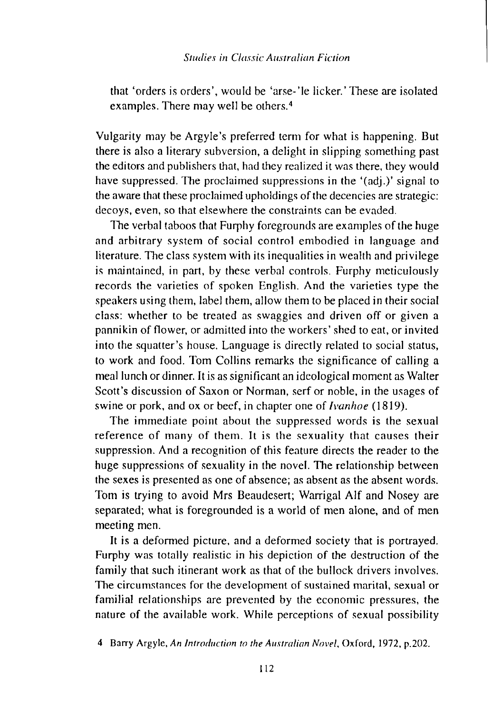that 'orders is orders', would be 'arse- 'le Iicker.' These are isolated examples. There may well be others.4

Vulgarity may be Argyle's preferred term for what is happening. But there is also a literary subversion, a delight in slipping something past the editors and publishers that, had they realized it was there, they would have suppressed. The proclaimed suppressions in the '(adj.)' signal to the aware that these proclaimed upholdings of the decencies are strategic: decoys, even, so that elsewhere the constraints can be evaded.

The verbal taboos that Furphy foregrounds are examples of the huge and arbitrary system of social control embodied in language and literature. The class system with its inequalities in wealth and privilege is maintained, in part, by these verbal controls. Furphy meticulously records the varieties of spoken English. And the varieties type the speakers using them, label them, allow them to be placed in their social class: whether to be treated as swaggies and driven off or given a pannikin of flower, or admitted into the workers' shed to eat, or invited into the squatter's house. Language is directly related to social status, to work and food. Tom Collins remarks the significance of calling a meal lunch or dinner. It is as significant an ideological moment as Walter Scott's discussion of Saxon or Norman, serf or noble, in the usages of swine or pork, and ox or beef, in chapter one of *Ivanhoe* ( 1819).

The immediate point about the suppressed words is the sexual reference of many of them. It is the sexuality that causes their suppression. And a recognition of this feature directs the reader to the huge suppressions of sexuality in the novel. The relationship between the sexes is presented as one of absence; as absent as the absent words. Tom is trying to avoid Mrs Beaudesert; Warrigal Alf and Nosey are separated; what is foregrounded is a world of men alone, and of men meeting men.

It is a deformed picture, and a deformed society that is portrayed. Furphy was totally realistic in his depiction of the destruction of the family that such itinerant work as that of the bullock drivers involves. The circumstances for the development of sustained marital, sexual or familial relationships are prevented by the economic pressures, the nature of the available work. While perceptions of sexual possibility

4 Barry Argyle, *An Introduction to the Australian Novel,* Oxford, 1972, p.202.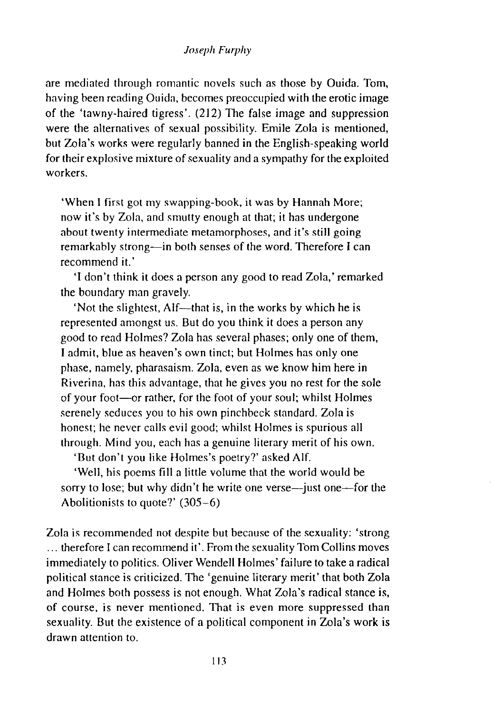are mediated through romantic novels such as those by Ouida. Tom, having been reading Ouida, becomes preoccupied with the erotic image of the 'tawny-haired tigress'. (212) The false image and suppression were the alternatives of sexual possibility. Emile Zola is mentioned, but Zola's works were regularly banned in the English-speaking world for their explosive mixture of sexuality and a sympathy for the exploited workers.

'When I first got my swapping-book, it was by Hannah More; now it's by Zola, and smutty enough at that; it has undergone about twenty intermediate metamorphoses, and it's still going remarkably strong-in both senses of the word. Therefore I can recommend it.'

'I don't think it does a person any good to read Zola,' remarked the boundary man gravely.

'Not the slightest, Alf—that is, in the works by which he is represented amongst us. But do you think it does a person any good to read Holmes? Zola has several phases; only one of them, I admit, blue as heaven's own tinct; but Holmes has only one phase, namely, pharasaism. Zola, even as we know him here in Riverina, has this advantage, that he gives you no rest for the sole of your foot-or rather, for the foot of your soul; whilst Holmes serenely seduces you to his own pinchbeck standard. Zola is honest; he never calls evil good; whilst Holmes is spurious all through. Mind you, each has a genuine literary merit of his own.

'But don't you like Holmes's poetry?' asked Alf.

'Well, his poems fill a little volume that the world would be sorry to lose; but why didn't he write one verse—just one—for the Abolitionists to quote?' (305-6)

Zola is recommended not despite but because of the sexuality: 'strong ... therefore I can recommend it'. From the sexuality Tom Collins moves immediately to politics. Oliver Wendell Holmes' failure to take a radical political stance is criticized. The 'genuine literary merit' that both Zola and Holmes both possess is not enough. What Zola's radical stance is, of course, is never mentioned. That is even more suppressed than sexuality. But the existence of a political component in Zola's work is drawn attention to.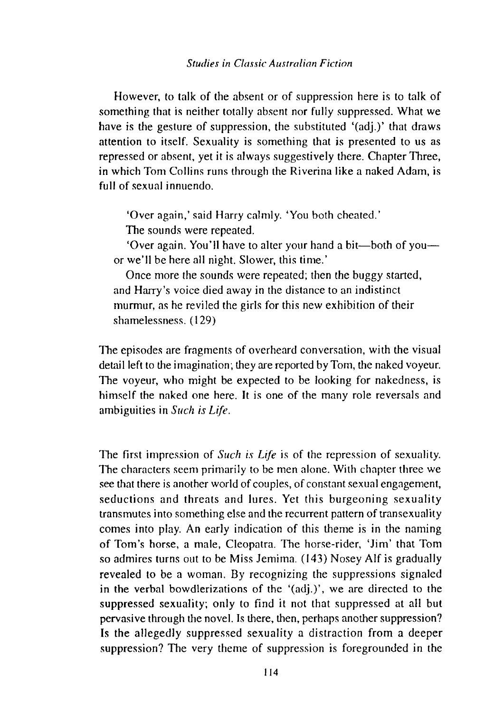However, to talk of the absent or of suppression here is to talk of something that is neither totally absent nor fully suppressed. What we have is the gesture of suppression, the substituted '(adj.)' that draws attention to itself. Sexuality is something that is presented to us as repressed or absent, yet it is always suggestively there. Chapter Three, in which Tom Collins runs through the Riverina like a naked Adam, is full of sexual innuendo.

'Over again,' said Harry calmly. 'You both cheated.'

The sounds were repeated.

'Over again. You'll have to alter your hand a bit-both of youor we'll be here all night. Slower, this time.'

Once more the sounds were repeated; then the buggy started, and Harry's voice died away in the distance to an indistinct murmur, as he reviled the girls for this new exhibition of their shamelessness. (129)

The episodes are fragments of overheard conversation, with the visual detail left to the imagination; they are reported by Tom, the naked voyeur. The voyeur, who might be expected to be looking for nakedness, is himself the naked one here. It is one of the many role reversals and ambiguities in *Such is Life.* 

The first impression of *Such is Life* is of the repression of sexuality. The characters seem primarily to be men alone. With chapter three we see that there is another world of couples, of constant sexual engngement, seductions and threats and lures. Yet this burgeoning sexuality transmutes into something else and the recurrent pattern of transexuality comes into play. An early indication of this theme is in the naming of Tom's horse, a mnle, Cleopatra. The horse-rider, 'Jim' that Tom so admires turns out to be Miss Jemima. (143) Nosey Alf is gradually revealed to be a woman. By recognizing the suppressions signaled in the verbal bowdlerizations of the '(adj.)', we are directed to the suppressed sexuality; only to find it not that suppressed at all but pervasive through the novel. Is there, then, perhnps another suppression? Is the allegedly suppressed sexuality a distraction from a deeper suppression? The very theme of suppression is foregrounded in the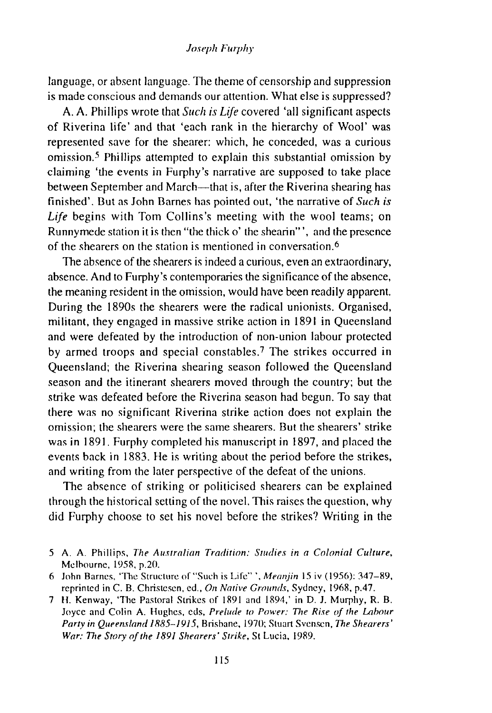language, or absent language. The theme of censorship and suppression is made conscious and demands our attention. What else is suppressed?

A. A. Phillips wrote that *Such is Life* covered 'all significant aspects of Riverina life' and that 'each rank in the hierarchy of Wool' was represented save for the shearer: which, he conceded, was a curious omission.5 Phillips attempted to explain this substantial omission by claiming 'the events in Furphy's narrative are supposed to take place between September and March—that is, after the Riverina shearing has finished'. But as John Barnes has pointed out, 'the narrative of *Such is Life* begins with Tom Collins's meeting with the wool teams; on Runnymede station it is then "the thick o' the shearin" ', and the presence of the shearers on the station is mentioned in conversation.6

The absence of the shearers is indeed a curious, even an extraordinary, absence. And to Furphy 's contemporaries the significance of the absence, the meaning resident in the omission, would have been readily apparent. During the 1890s the shearers were the radical unionists. Organised, militant, they engaged in massive strike action in 1891 in Queensland and were defeated by the introduction of non-union labour protected by armed troops and special constables.? The strikes occurred in Queensland; the Riverina shearing season followed the Queensland season and the itinerant shearers moved through the country; but the strike was defeated before the Riverina season had begun. To say that there was no significant Riverina strike action does not explain the omission; the shearers were the same shearers. But the shearers' strike was in 1891. Furphy completed his manuscript in 1897, and placed the events back in 1883. He is writing about the period before the strikes, and writing from the later perspective of the defeat of the unions.

The absence of striking or politicised shearers can be explained through the historical setting of the novel. This raises the question, why did Furphy choose to set his novel before the strikes? Writing in the

- 5 A. A. Phillips, *The Australian Tradition: Studies in a Colonial Culture*, Melbourne, 1958, p.20.
- 6 John Barnes, 'The Structure of "Such is Life"', *Mermjin* 15 iv (1956): 347-89, reprinted in C. B. Christesen, ed., *On Native Grounds*, Sydney, 1968, p.47.
- 7 H. Kenway, 'The Pastoral Strikes of 1891 and 1894,' in D. J. Murphy, R. B. Joyce and Colin A. Hughes, eds, *Prelude to Power: The Rise of the Labour Party in Queemland 1885-1915,* Brishane, 1970; Stuart Svcnsen, *The Shearers' War: 17re Story of the 1891 Shearers' Strike,* St Lucia, 19R9.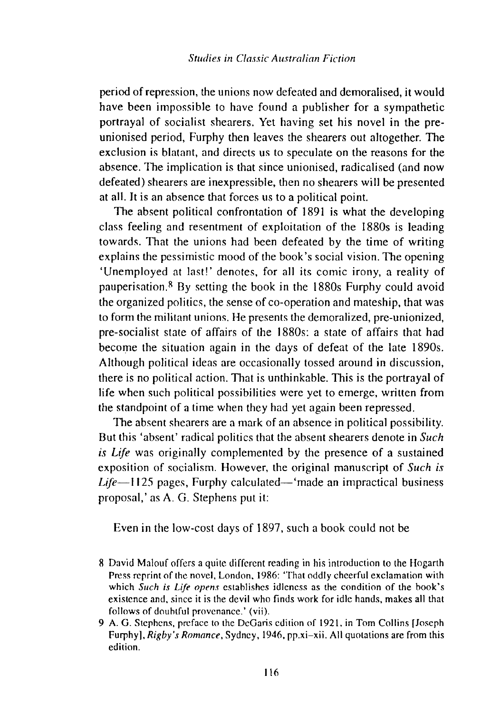period of repression, the unions now defeated and demoralised, it would have been impossible to have found a publisher for a sympathetic portrayal of socialist shearers. Yet having set his novel in the preunionised period, Furphy then leaves the shearers out altogether. The exclusion is blatant, and directs us to speculate on the reasons for the absence. The implication is that since unionised, radicalised (and now defeated) shearers are inexpressible, then no shearers will be presented at all. It is an absence that forces us to a political point.

The absent political confrontation of 1891 is what the developing class feeling and resentment of exploitation of the 1880s is leading towards. That the unions had been defeated by the time of writing explains the pessimistic mood of the book's social vision. The opening 'Unemployed at last!' denotes, for all its comic irony, a reality of pauperisation.<sup>8</sup> By setting the book in the  $1880s$  Furphy could avoid the organized politics, the sense of co-operation and mateship, that was to form the militant unions. He presents the demoralized, pre-unionized, pre-socialist state of affairs of the 1880s: a state of affairs that had become the situation again in the days of defeat of the late 1890s. Although political ideas are occasionally tossed around in discussion, there is no political action. That is unthinkable. This is the portrayal of life when such political possibilities were yet to emerge, written from the standpoint of a time when they had yet again been repressed.

The absent shearers are a mark of an absence in political possibility. But this 'absent' radical politics that the absent shearers denote in *Such is Life* was originally complemented by the presence of a sustained exposition of socialism. However, the original manuscript of *Such is Life-1125* pages, Furphy calculated-'made an impractical business proposal,' as A. G. Stephens put it:

Even in the low-cost days of 1897, such a book could not be

- 8 David Malouf offers a quite different reading in his introduction to the Hogarth Press reprint of the novel. London. 1986: 'That oddly cheerful exclamation with which *Such is Life opens* establishes idleness as the condition of the hook's existence and, since it is the devil who finds work for idle hands, makes all that follows of doubtful provenance.' (vii).
- 9 A. G. Stephens. preface to the DcGaris edition of 192 I. in Tom Collins [Joseph Furphy ]. *Rigby's Romance,* Sydney, 1946, pp.xi-xii. All quotations arc from this edition.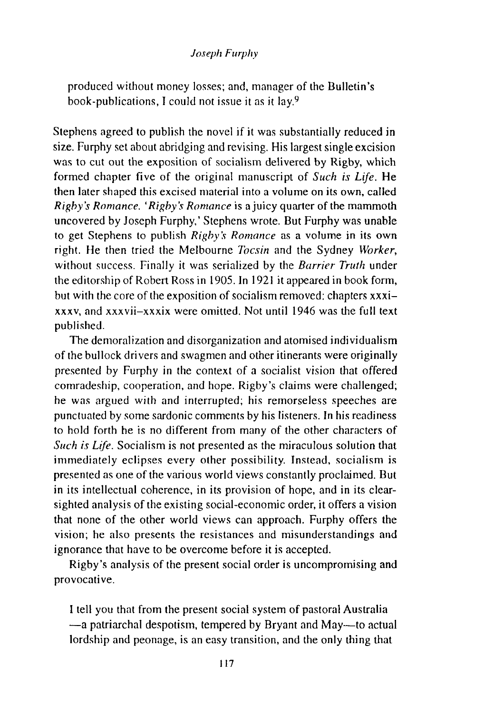produced without money losses; and, manager of the Bulletin's book-publications, I could not issue it as it lay.9

Stephens agreed to publish the novel if it was substantially reduced in size. Furphy set about abridging and revising. His largest single excision was to cut out the exposition of socialism delivered by Rigby, which formed chapter five of the original manuscript of *Such is Life.* He then later shaped this excised material into a volume on its own, called *Rigby's Romance. 'Rigby's Romance* is a juicy quarter of the mammoth uncovered by Joseph Furphy,' Stephens wrote. But Furphy was unable to get Stephens to publish *Rigby's Romance* as a volume in its own right. He then tried the Melbourne *Tocsin* and the Sydney *Worker,*  without success. Finally it was serialized by the *Barrier Truth* under the editorship of Robert Ross in 1905. In 1921 it appeared in book form, but with the core of the exposition of socialism removed: chapters xxxixxxv, and xxxvii-xxxix were omitted. Not until 1946 was the full text published.

The demoralization and disorganization and atomised individualism of the bullock drivers and swagmen and other itinerants were originally presented by Furphy in the context of a socialist vision that offered comradeship, cooperation, and hope. Rigby's claims were challenged; he was argued with and interrupted; his remorseless speeches are punctuated by some sardonic comments by his listeners. In his readiness to hold forth he is no different from many of the other characters of *Such is Life.* Socialism is not presented as the miraculous solution that immediately eclipses every other possibility. Instead, socialism is presented as one of the various world views constantly proclaimed. But in its intellectual coherence, in its provision of hope, and in its clearsighted analysis of the existing social-economic order, it offers a vision that none of the other world views can approach. Furphy offers the vision; he also presents the resistances and misunderstandings and ignorance that have to be overcome before it is accepted.

Rigby's analysis of the present social order is uncompromising and provocative.

I tell you that from the present social system of pastoral Australia -a patriarchal despotism, tempered by Bryant and May-to actual lordship and peonage, is an easy transition, and the only thing that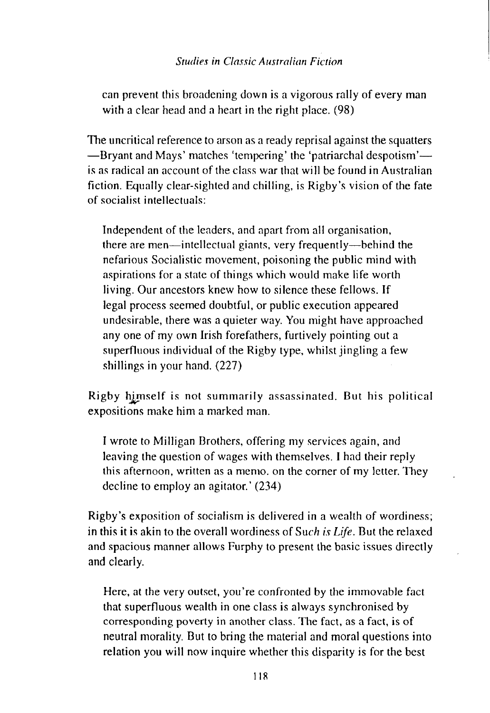can prevent this broadening down is a vigorous rally of every man with a clear head and a heart in the right place. (98)

The uncritical reference to arson as a ready reprisal against the squatters -Bryant and Mays' matches 'tempering' the 'patriarchal despotism'is as radical an account of the class war that will be found in Australian fiction. Equally clear-sighted and chilling, is Rigby's vision of the fate of socialist intellectuals:

Independent of the leaders, and apart from all organisation, there are men—intellectual giants, very frequently—behind the nefarious Socialistic movement, poisoning the public mind with aspirations for a state of things which would make life worth living. Our ancestors knew how to silence these fellows. If legal process seemed doubtful, or public execution appeared undesirable, there was a quieter way. You might have approached any one of my own Irish forefathers, furtively pointing out a superfluous individual of the Rigby type, whilst jingling a few shillings in your hand. (227)

Rigby himself is not summarily assassinated. But his political expositions make him a marked man.

I wrote to Milligan Brothers, offering my services again, and leaving the question of wages with themselves. I had their reply this afternoon, written as a memo, on the corner of my letter. They decline to employ an agitator.' (234)

Rigby's exposition of socialism is delivered in a wealth of wordiness; in this it is akin to the overall wordiness of *Such is Life.* But the relaxed and spacious manner allows Furphy to present the basic issues directly and clearly.

Here, at the very outset, you're confronted by the immovable fact that superfluous wealth in one class is always synchronised by corresponding poverty in another class. The fact, as a fact, is of neutral morality. But to bring the material and moral questions into relation you will now inquire whether this disparity is for the best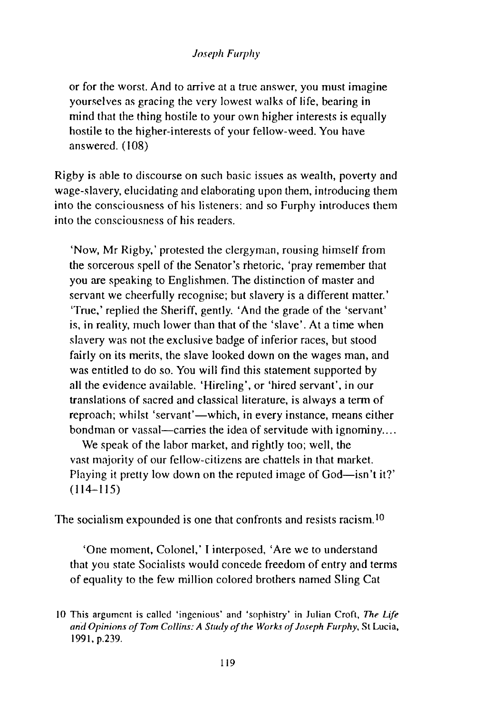or for the worst. And to arrive at a tme answer, you must imagine yourselves as gracing the very lowest walks of life, bearing in mind that the thing hostile to your own higher interests is equally hostile to the higher-interests of your fellow-weed. You have answered. (108)

Rigby is able to discourse on such basic issues as wealth, poverty and wage-slavery, elucidating and elaborating upon them, introducing them into the consciousness of his listeners: and so Furphy introduces them into the consciousness of his readers.

'Now, Mr Rigby,' protested the clergyman, rousing himself from the sorcerous spell of the Senator's rhetoric, 'pray remember that you are speaking to Englishmen. The distinction of master and servant we cheerfully recognise; but slavery is a different matter.' 'True,' replied the Sheriff, gently. 'And the grade of the 'servant' is, in reality, much lower than that of the 'slave'. At a time when slavery was not the exclusive badge of inferior races, but stood fairly on its merits, the slave looked down on the wages man, and was entitled to do so. You will find this statement supported by all the evidence available. 'Hireling', or 'hired servant', in our translations of sacred and classical literature, is always a term of reproach; whilst 'servant'—which, in every instance, means either bondman or vassal—carries the idea of servitude with ignominy....

We speak of the labor market, and rightly too; well, the vast mnjority of our fellow-citizens are chattels in that market. Playing it pretty low down on the reputed image of God—isn't it?'  $(114 - 115)$ 

The socialism expounded is one that confronts and resists racism. $10$ 

'One moment, Colonel,' I interposed, 'Are we to understand that you state Socialists would concede freedom of entry and terms of equality to the few million colored brothers named Sling Cat

<sup>10</sup> This argument is called 'ingenious' and 'sophistry' in Julian Croft, *The Life and Opinions of Tom Collins: A Study of the Works of Joseph Furphy,* St Lucia, 199 I, p.239.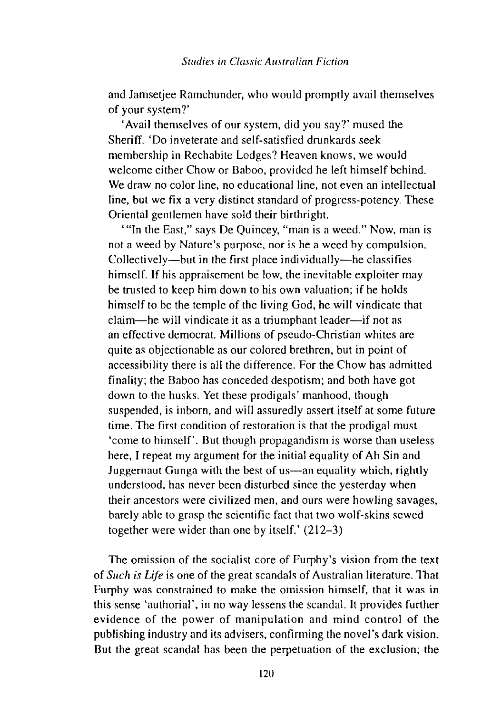and Jamsetjee Ramchunder, who would promptly avail themselves of your system?'

'Avail themselves of our system, did you say?' mused the Sheriff. 'Do inveterate and self-satisfied drunkards seek membership in Rechabite Lodges? Heaven knows, we would welcome either Chow or Baboo, provided he left himself behind. We draw no color line, no educational line, not even an intellectual line, but we fix a very distinct standard of progress-potency. These Oriental gentlemen have sold their birthright.

'"In the East," says De Quincey, "man is a weed." Now, man is not a weed by Nature's purpose, nor is he a weed by compulsion. Collectively-but in the first place individually-he classifies himself. If his appraisement be low, the inevitable exploiter may be trusted to keep him down to his own valuation; if he holds himself to be the temple of the living God, he will vindicate that claim-he will vindicate it as a triumphant leader-if not as an effective democrat. Millions of pseudo-Christian whites are quite as objectionable as our colored brethren, but in point of accessibility there is all the difference. For the Chow has admitted finality; the Baboo has conceded despotism; and both have got down to the husks. Yet these prodigals' manhood, though suspended, is inborn, and will assuredly assert itself at some future time. The first condition of restoration is that the prodigal must 'come to himself'. But though propagandism is worse than useless here, I repeat my argument for the initial equality of Ah Sin and Juggernaut Gunga with the best of us-an equality which, rightly understood, has never been disturbed since the yesterday when their ancestors were civilized men, and ours were howling savages, barely able to grasp the scientific fact that two wolf-skins sewed together were wider than one by itself.' (212-3)

The omission of the socialist core of Furphy's vision from the text of *Such is Life* is one of the great scandals of Australian literature. That Furphy was constrained to make the omission himself, that it was in this sense 'authorial', in no way lessens the scandal. It provides further evidence of the power of manipulation and mind control of the publishing industry and its advisers, confirming the novel's dark vision. **But** the great scandal has been the perpetuation of the exclusion; the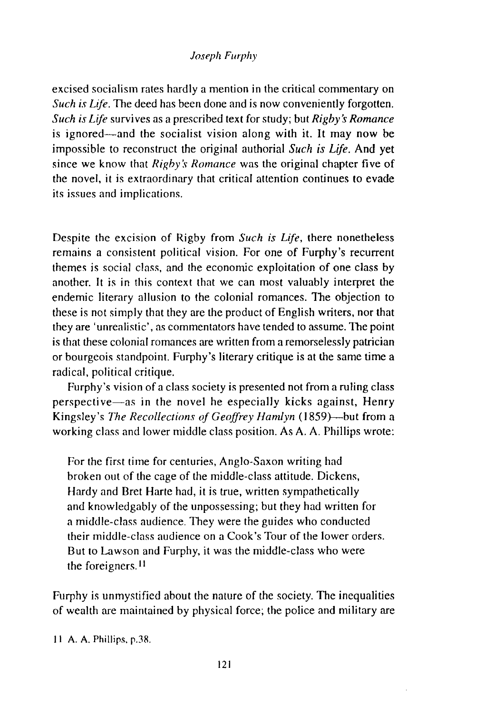excised socialism rates hardly a mention in the critical commentary on *Such is Life.* The deed has been done and is now conveniently forgotten. *Such is Life* survives as a prescribed text for study; but *Rigby's Romance*  is ignored—and the socialist vision along with it. It may now be impossible to reconstruct the original authorial *Such* is *Life.* And yet since we know that *Rigby's Romance* was the original chapter five of the novel, it is extraordinary that critical attention continues to evade its issues and implications.

Despite the excision of Rigby from *Such is Life,* there nonetheless remains a consistent political vision. For one of Furphy's recurrent themes is social class, and the economic exploitation of one class by another. It is in this context that we can most valuably interpret the endemic literary allusion to the colonial romances. The objection to these is not simply that they are the product of English writers, nor that they are 'unrealistic', as commentators have tended to assume. The point is that these colonial romances are written from a remorselessly patrician or bourgeois standpoint. Furphy's literary critique is at the same time a radical, political critique.

Furphy's vision of a class society is presented not from a ruling class perspective-as in the novel he especially kicks against, Henry Kingsley's *The Recollections of Geoffrey Hamlyn* (1859)—but from a working class and lower middle class position. As A. A. Phillips wrote:

For the first time for centuries, Anglo-Saxon writing had broken out of the cage of the middle-class attitude. Dickens, Hardy and Bret Harte had, it is true, written sympathetically and knowledgably of the unpossessing; but they had written for a middle-class audience. They were the guides who conducted their middle-class audience on a Cook's Tour of the lower orders. But to Lawson and Furphy, it was the middle-class who were the foreigners. II

Furphy is unmystified about the nature of the society. The inequalities of wealth are maintained by physical force; the police and military are

II A. A. Phillips, p.38.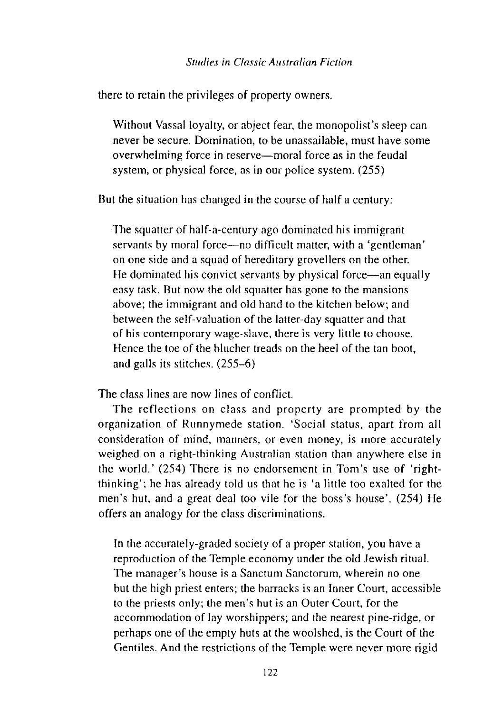there to retain the privileges of property owners.

Without Vassal loyalty, or abject fear, the monopolist's sleep can never be secure. Domination, to be unassailable, must have some overwhelming force in reserve—moral force as in the feudal system, or physical force, as in our police system. (255)

But the situation has changed in the course of half a century:

The squatter of half-a-century ago dominated his immigrant servants by moral force—no difficult matter, with a 'gentleman' on one side and a squad of hereditary grovellers on the other. He dominated his convict servants by physical force—an equally easy task. But now the old squatter has gone to the mansions above; the immigrant and old hand to the kitchen below; and between the self-valuation of the latter-day squatter and that of his contemporary wage-slave, there is very little to choose. Hence the toe of the blucher treads on the heel of the tan boot, and galls its stitches. (255-6)

The class lines are now lines of conflict.

The reflections on class and property are prompted by the organization of Runnymede station. 'Social status, apart from all consideration of mind, manners, or even money, is more accurately weighed on a right-thinking Australian station than anywhere else in the world.' (254) There is no endorsement in Tom's use of 'rightthinking'; he has already told us that he is 'a little too exalted for the men's hut, and a great deal too vile for the boss's house'. (254) He offers an analogy for the class discriminations.

In the accurately-graded society of a proper station, you have a reproduction of the Temple economy under the old Jewish ritual. The manager's house is a Sanctum Sanctorum, wherein no one but the high priest enters; the barracks is an Inner Court, accessible to the priests only; the men's hut is an Outer Court, for the accommodation of lay worshippers; and the nearest pine-ridge, or perhaps one of the empty huts at the woolshed, is the Court of the Gentiles. And the restrictions of the Temple were never more rigid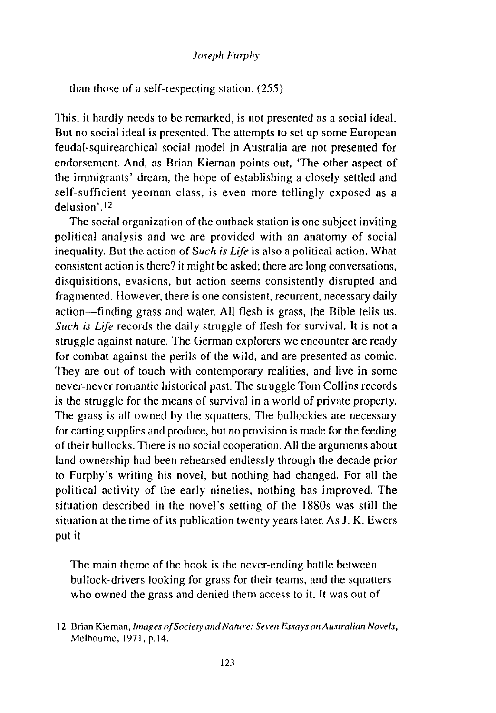than those of a self-respecting station. (255)

This, it hardly needs to be remarked, is not presented as a social ideal. But no social ideal is presented. The attempts to set up some European feudal-squirearchical social model in Australia are not presented for endorsement. And, as Brian Kiernan points out, 'The other aspect of the immigrants' dream, the hope of establishing a closely settled and self-sufficient yeoman class, is even more tellingly exposed as a delusion' .12

The social organization of the outback station is one subject inviting political analysis and we are provided with an anatomy of social inequality. But the action of *Such is Life* is also a political action. What consistent action is there? it might be asked; there are long conversations, disquisitions, evasions, but action seems consistently disrupted and fragmented. However, there is one consistent, recurrent, necessary daily action-finding grass and water. All flesh is grass, the Bible tells us. *Such is Life* records the daily struggle of flesh for survival. It is not a struggle against nature. The German explorers we encounter are ready for combat against the perils of the wild, and are presented as comic. They are out of touch with contemporary realities, and live in some never-never romantic historical past. The struggle Tom Collins records is the struggle for the means of survival in a world of private property. The grass is all owned by the squatters. The bullockies are necessary for carting supplies and produce, but no provision is made for the feeding of their bullocks. There is no social cooperation. All the arguments about land ownership had been rehearsed endlessly through the decade prior to Furphy's writing his novel, but nothing had changed. For all the political activity of the early nineties, nothing has improved. The situation described in the novel's setting of the 1880s was still the situation at the time of its publication twenty years later. As J. K. Ewers put it

The main theme of the book is the never-ending battle between bullock-drivers looking for grass for their teams, and the squatters who owned the grass and denied them access to it. It was out of

<sup>12</sup> Brian Kiernan, *Images of Society and Nature: Seven Essays on Australian Novels,*  Mclhoumc, 1971, p.l4.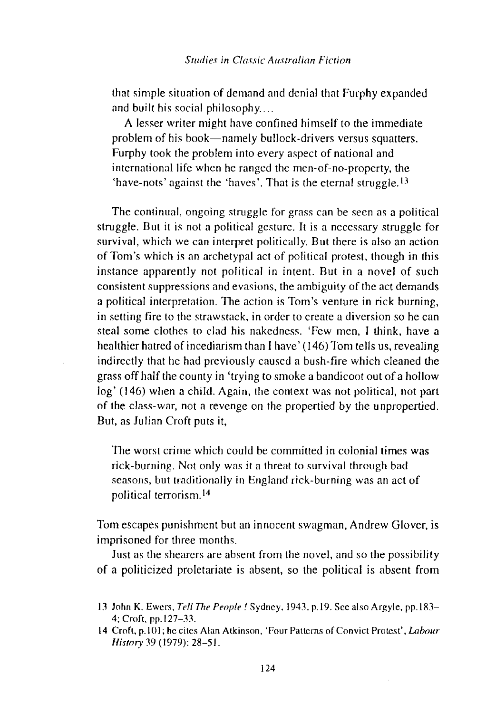that simple situation of demand and denial that Furphy expanded and built his social philosophy....

A lesser writer might have confined himself to the immediate problem of his book-namely bullock-drivers versus squatters. Furphy took the problem into every aspect of national and international life when he ranged the men-of-no-property, the 'have-nots' against the 'haves'. That is the eternal struggle.I3

The continual, ongoing struggle for grass can be seen as a political struggle. But it is not a political gesture. It is a necessary struggle for survival, which we can interpret politically. But there is also an action of Tom's which is an archetypal act of political protest, though in this instance apparently not political in intent. But in a novel of such consistent suppressions and evasions, the ambiguity of the act demands a political interpretation. The action is Tom's venture in rick burning, in setting fire to the strawstack, in order to create a diversion so he can steal some clothes to clad his nakedness. 'Few men, I think, have a healthier hatred of incediarism than I have' ( 146) Tom tells us, revealing indirectly that he had previously caused a bush-fire which cleaned the grass off half the county in 'trying to smoke a bandicoot out of a hollow log' (146) when a child. Again, the context was not political, not part of the class-war, not a revenge on the propertied by the u npropertied. But, as Julian Croft puts it,

The worst crime which could be committed in colonial times was rick-burning. Not only was it a threat to survival through bad seasons, but traditionally in England rick-burning was an act of political terrorism.<sup>14</sup>

Tom escapes punishment but an innocent swagman, Andrew Glover, is imprisoned for three months.

Just as the shearers are absent from the novel, and so the possibility of a politicized proletariate is absent, so the political is absent from

<sup>13</sup> John K. Ewers, *Tell The People!* Sydney, 1943, p.19. See also Argyle, pp.183-4; Croft, pp.127-33.

<sup>14</sup> Croft, p.lOl; he cites Alan Atkinson, 'Four Patterns of Convict Protest', *Labour History* 39 ( 1979): 28-51.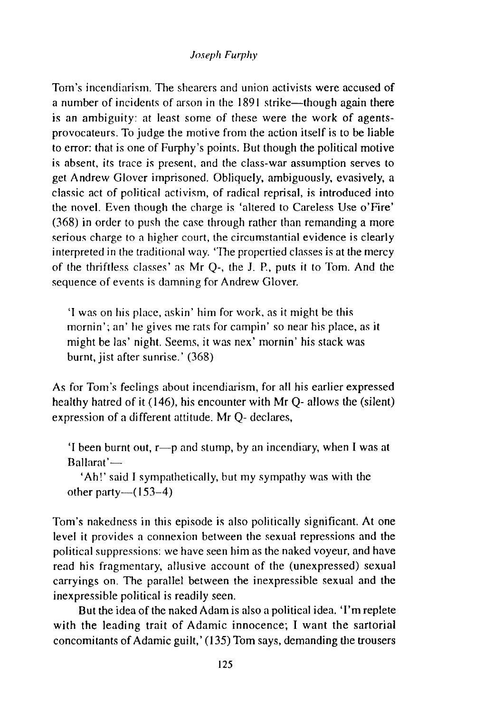Tom's incendiarism. The shearers and union activists were accused of a number of incidents of arson in the 1891 strike—though again there is an ambiguity: at least some of these were the work of agentsprovocateurs. To judge the motive from the action itself is to be liable to error: that is one of Furphy's points. But though the political motive is absent, its trace is present, and the class-war assumption serves to get Andrew Glover imprisoned. Obliquely, ambiguously, evasively, a classic act of political activism, of radical reprisal, is introduced into the novel. Even though the charge is 'altered to Careless Use o'Fire' (368) in order to push the case through rather than remanding a more serious charge to a higher court, the circumstantial evidence is clearly interpreted in the traditional way. 'The propertied classes is at the mercy of the thriftless classes' as Mr Q-, the J. P., puts it to Tom. And the sequence of events is damning for Andrew Glover.

'I was on his place, askin' him for work, as it might be this mornin'; an' he gives me rats for campin' so near his place, as it might be las' night. Seems, it was nex' mornin' his stack was burnt, jist after sunrise.' (368)

As for Tom's feelings about incendiarism, for all his earlier expressed healthy hatred of it (146), his encounter with Mr Q- allows the (silent) expression of a different attitude. Mr Q- declares,

'I been burnt out,  $r$ —p and stump, by an incendiary, when I was at Ballarat'-

'Ah!' said I sympathetically, but my sympathy was with the other party- $(153-4)$ 

Tom's nakedness in this episode is also politically significant. At one level it provides a connexion between the sexual repressions and the political suppressions: we have seen him as the naked voyeur, and have read his fragmentary, allusive account of the (unexpressed) sexual carryings on. The parallel between the inexpressible sexual and the inexpressible political is readily seen.

But the idea of the naked Adam is also a political idea. 'I'm replete with the leading trait of Adamic innocence; I want the sartorial concomitants of Adamic guilt,' (135) Tom says, demanding the trousers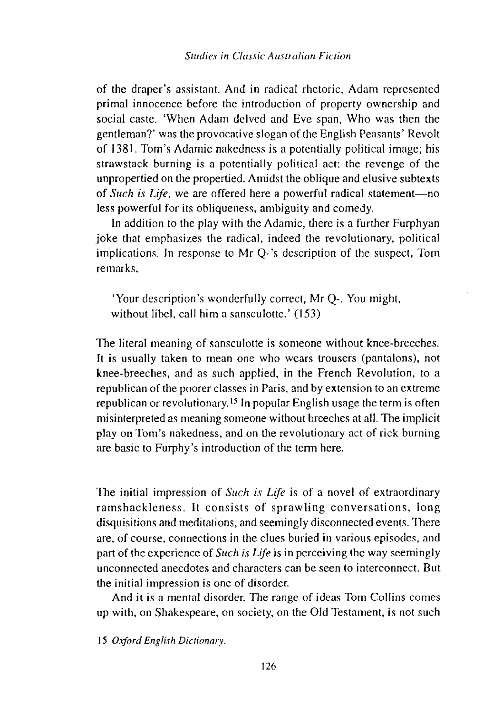of the draper's assistant. And in radical rhetoric, Adam represented primal innocence before the introduction of property ownership and social caste. 'When Adam delved and Eve span, Who was then the gentleman?' was the provocative slogan of the English Peasants' Revolt of 1381. Tom's Adamic nakedness is a potentially political image; his strawstack burning is a potentially political act: the revenge of the unpropertied on the propertied. Amidst the oblique and elusive subtexts of *Such is Life*, we are offered here a powerful radical statement-no less powerful for its obliqueness, ambiguity and comedy.

In addition to the play with the Adamic, there is a further Furphyan joke that emphasizes the radical, indeed the revolutionary, political implications. In response to Mr Q-'s description of the suspect, Tom remarks,

'Your description's wonderfully correct, Mr Q-. You might, without libel, call him a sansculotte.' (153)

The literal meaning of sansculotte is someone without knee-breeches. It is usually taken to mean one who wears trousers (pantalons), not knee-breeches, and as such applied, in the French Revolution, to a republican of the poorer classes in Paris, and by extension to an extreme republican or revolutionary. 15 In popular English usage the term is often misinterpreted as meaning someone without breeches at all. The implicit play on Tom's nakedness, and on the revolutionary act of rick burning are basic to Furphy's introduction of the term here.

The initial impression of *Such is Life* is of a novel of extraordinary ramshackleness. It consists of sprawling conversations, long disquisitions and meditations, and seemingly disconnected events. There are, of course, connections in the clues buried in various episodes, and part of the experience of *Such is Life* is in perceiving the way seemingly unconnected anecdotes and characters can be seen to interconnect. But the initial impression is one of disorder.

And it is a mental disorder. The range of ideas Tom Collins comes up with, on Shakespeare, on society, on the Old Testament, is not such

15 *Oxford Engliih Dictionary.*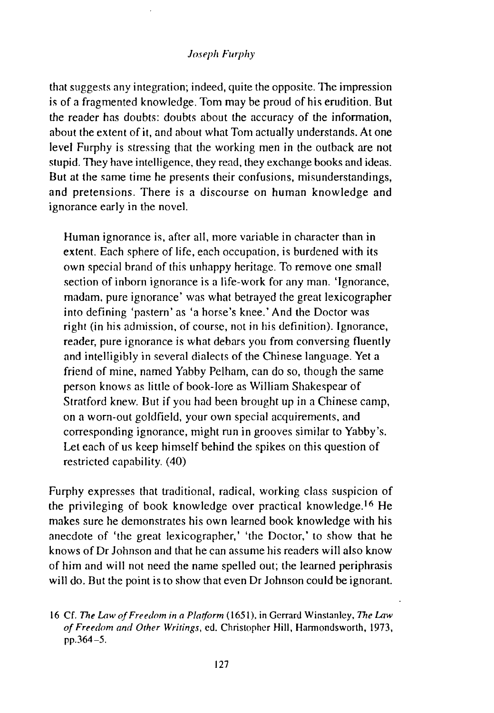that suggests any integration; indeed, quite the opposite. The impression is of a fragmented knowledge. Tom may be proud of his erudition. But the reader has doubts: doubts about the accuracy of the information, about the extent of it, and about what Tom actually understands. At one level Furphy is stressing that the working men in the outback are not stupid. They have intelligence, they read, they exchange books and ideas. But at the same time he presents their confusions, misunderstandings, and pretensions. There is a discourse on human knowledge and ignorance early in the novel.

Human ignorance is, after all, more variable in character than in extent. Each sphere of life, each occupation, is burdened with its own special brand of this unhappy heritage. To remove one small section of inborn ignorance is a life-work for any man. 'Ignorance, madam, pure ignorance' was what betrayed the great lexicographer into defining 'pastern' as 'a horse's knee.' And the Doctor was right (in his admission, of course, not in his definition). Ignorance, reader, pure ignorance is what debars you from conversing fluently and intelligibly in several dialects of the Chinese language. Yet a friend of mine, named Yabby Pelham, can do so, though the same person knows as little of book-lore as William Shakespear of Stratford knew. But if you had been brought up in a Chinese camp, on a worn-out goldfield, your own special acquirements, and corresponding ignorance, might run in grooves similar to Yabby's. Let each of us keep himself behind the spikes on this question of restricted capability. (40)

Furphy expresses that traditional, radical, working class suspicion of the privileging of book knowledge over practical knowledge.<sup>16</sup> He makes sure he demonstrates his own learned book knowledge with his anecdote of 'the great lexicographer,' 'the Doctor,' to show that he knows of Dr Johnson and that he can assume his readers will also know of him and will not need the name spelled out; the learned periphrasis will do. But the point is to show that even Dr Johnson could be ignorant.

<sup>16</sup> Cf. *The Law of Freedom in a Platform* ( 1651 ). in Gerrard Winstanley, *The Law of Freedom and Other Writings,* ed. Christopher Hill, Hannondsworth, 1973, pp.364-5.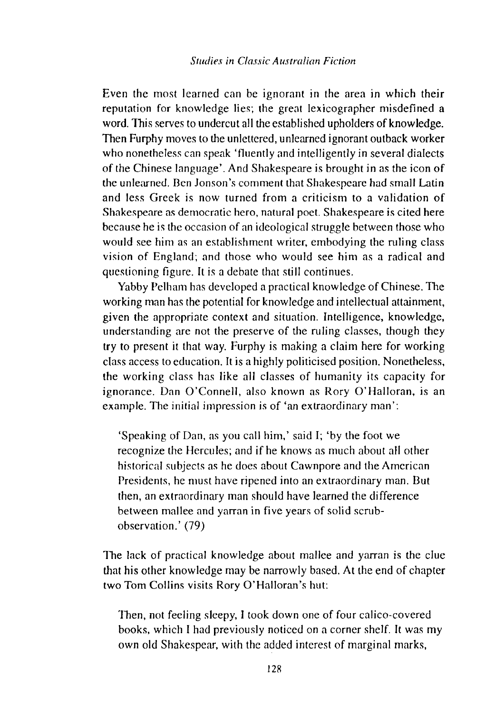Even the most learned can be ignorant in the area in which their reputation for knowledge lies; the great lexicographer misdefined a word. This serves to undercut all the established upholders of knowledge. Then Furphy moves to the unlettered, unlearned ignorant outback worker who nonetheless can speak 'fluently and intelligently in several dialects of the Chinese language'. And Shakespeare is brought in as the icon of the unlearned. Ben Jonson's comment that Shakespeare had small Latin and less Greek is now turned from a criticism to a validation of Shakespeare as democratic hero, natural poet. Shakespeare is cited here because he is the occasion of an ideological struggle between those who would see him as an establishment writer, embodying the mling class vision of England; and those who would see him as a radical and questioning figure. It is a debate that still continues.

Yabby Pelham has developed a practical knowledge of Chinese. The working man has the potential for knowledge and intellectual attainment, given the nppropriate context and situation. Intelligence, knowledge, understanding are not the preserve of the mling classes, though they try to present it that way. Furphy is making a claim here for working class access to education. It is a highly politicised position. Nonetheless, the working class has like all classes of humanity its capacity for ignorance. Dan O'Connell, also known as Rory O'Halloran, is an example. The initial impression is of 'an extraordinary man':

'Speaking of Dan, as you call him,' said I; 'by the foot we recognize the Hercules; and if he knows as much about all other historical subjects as he does about Cawnpore and the American Presidents, he must have ripened into an extraordinary man. But then, an extraordinary man should have learned the difference between mallee and yarran in five years of solid scmbobservation.' (79)

The lack of practical knowledge about malice and yarran is the clue that his other knowledge may be narrowly based. At the end of chapter two Tom Collins visits Rory 0' Halloran's hut:

Then, not feeling sleepy, I took down one of four calico-covered books, which I hnd previously noticed on a corner shelf. It was my own old Shakespear, with the added interest of marginal marks,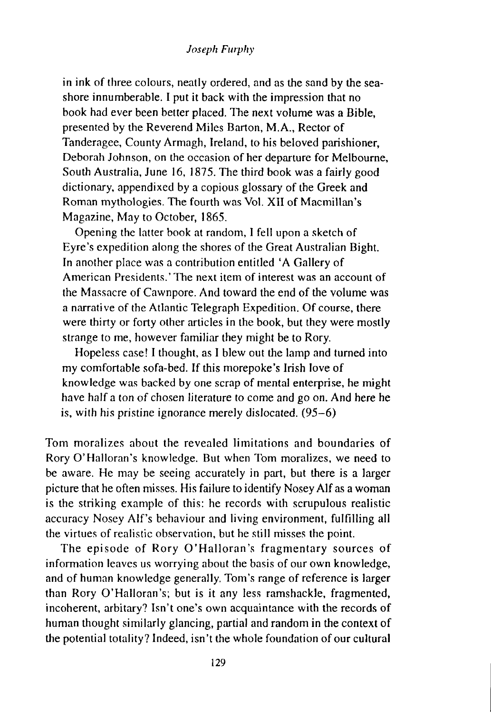in ink of three colours, neatly ordered, and as the sand by the seashore innumberable. I put it back with the impression that no book had ever been better placed. The next volume was a Bible, presented by the Reverend Miles Barton, M.A., Rector of Tanderagee, County Armagh, Ireland, to his beloved parishioner, Deborah Johnson, on the occasion of her departure for Melbourne, South Australia, June 16, 1875. The third book was a fairly good dictionary, appendixed by a copious glossary of the Greek and Roman mythologies. The fourth was Vol. XII of Macmillan's Magazine, May to October, 1865.

Opening the latter book at random, I fell upon a sketch of Eyre's expedition along the shores of the Great Australian Bight. In another place was a contribution entitled 'A Gallery of American Presidents.' The next item of interest was an account of the Massacre of Cawnpore. And toward the end of the volume was a narrative of the Atlantic Telegraph Expedition. Of course, there were thirty or forty other articles in the book, but they were mostly strange to me, however familiar they might be to Rory.

Hopeless case! I thought, as I blew out the lamp and turned into my comfortable sofa-bed. If this morepoke's Irish love of knowledge was backed by one scrap of mental enterprise, he might have half a ton of chosen literature to come and go on. And here he is, with his pristine ignorance merely dislocated. (95-6)

Tom moralizes about the revealed limitations and boundaries of Rory 0' Halloran's knowledge. But when Tom moralizes, we need to be aware. He may be seeing accurately in part, but there is a larger picture that he often misses. His failure to identify Nosey Alf as a woman is the striking example of this: he records with scrupulous realistic accuracy Nosey Alf's behaviour and living environment, fulfilling all the virtues of realistic observation, but he still misses the point.

The episode of Rory O'Halloran's fragmentary sources of information leaves us worrying about the basis of our own knowledge, and of human knowledge generally. Tom's range of reference is larger than Rory O'Halloran's; but is it any less ramshackle, fragmented, incoherent, arbitary? Isn't one's own acquaintance with the records of human thought similarly glancing, partial and random in the context of the potential totality? Indeed, isn't the whole foundation of our cultural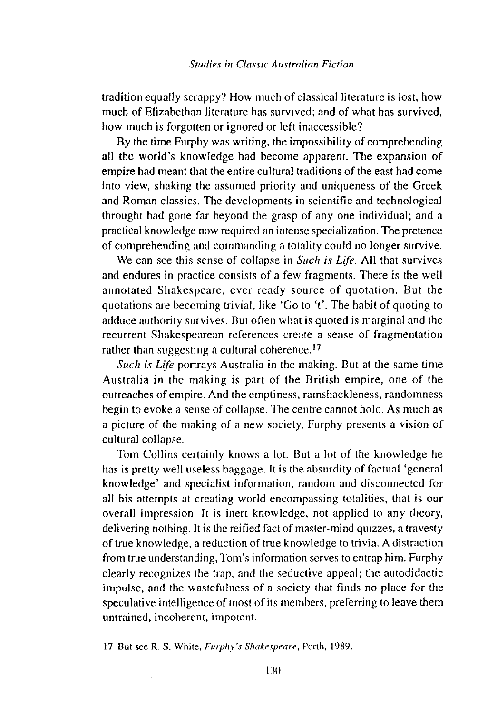tradition equally scrappy? How much of classical literature is lost, how much of Elizabethan literature has survived; and of what has survived, how much is forgotten or ignored or left inaccessible?

By the time Furphy was writing, the impossibility of comprehending all the world's knowledge had become apparent. The expansion of empire had meant that the entire cultural traditions of the east had come into view, shaking the assumed priority and uniqueness of the Greek and Roman classics. The developments in scientific and technological throught had gone far beyond the grasp of any one individual; and a practical knowledge now required an intense specialization. The pretence of comprehending and commanding a totality could no longer survive.

We can see this sense of collapse in *Such is Life.* All that survives and endures in practice consists of a few fragments. There is the well annotated Shakespeare, ever ready source of quotation. But the quotations are becoming trivial, like 'Go to 't'. The habit of quoting to adduce authority survives. But often what is quoted is marginal and the recurrent Shakespearean references create a sense of fragmentation rather than suggesting a cultural coherence.<sup>17</sup>

*Such is Life* portrays Australia in the making. But at the same time Australia in the making is part of the British empire, one of the outreaches of empire. And the emptiness, ramshackleness, randomness begin to evoke a sense of collapse. The centre cannot hold. As much as a picture of the making of a new society, Furphy presents a vision of cultural collapse.

Tom Collins certainly knows a lot. But a lot of the knowledge he has is pretty well useless baggage. It is the absurdity of factual 'general knowledge' and specialist information, random and disconnected for all his attempts at creating world encompassing totalities, that is our overall impression. It is inert knowledge, not applied to any theory, delivering nothing. It is the reified fact of master-mind quizzes, a travesty of true knowledge, a reduction of true knowledge to trivia. A distraction from true understanding, Tom's information serves to entrap him. Furphy clearly recognizes the trap, and the seductive appeal; the autodidactic impulse, and the wastefulness of a society that finds no place for the speculative intelligence of most of its members, preferring to leave them untrained, incoherent, impotent.

17 But see R. S. White, *Furphy 's Shakespeare,* Perth, 1989.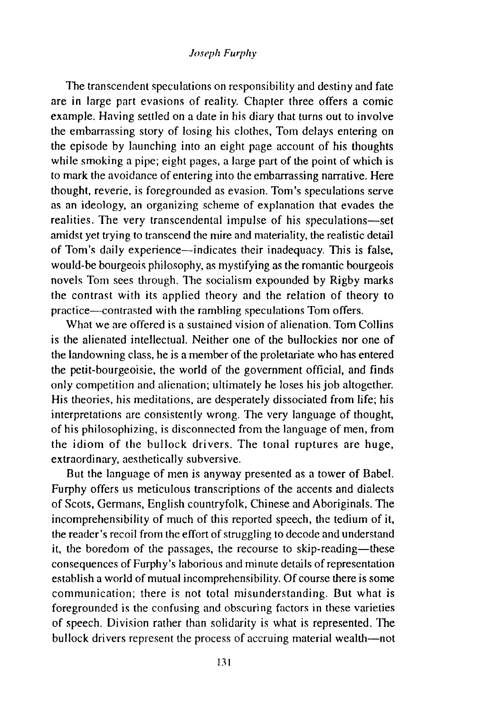The transcendent speculations on responsibility and destiny and fate are in large part evasions of reality. Chapter three offers a comic example. Having settled on a date in his diary that turns out to involve the embarrassing story of losing his clothes, Tom delays entering on the episode by launching into an eight page account of his thoughts while smoking a pipe; eight pages, a large part of the point of which is to mark the avoidance of entering into the embarrassing narrative. Here thought, reverie, is foregrounded as evasion. Tom's speculations serve as an ideology, an organizing scheme of explanation that evades the realities. The very transcendental impulse of his speculations-set amidst yet trying to transcend the mire and materiality, the realistic detail of Tom's daily experience—indicates their inadequacy. This is false, would-be bourgeois philosophy, as mystifying as the romantic bourgeois novels Tom sees through. The socialism expounded by Rigby marks the contrast with its applied theory and the relation of theory to practice--contrasted with the rambling speculations Tom offers.

What we are offered is a sustained vision of alienation. Tom Collins is the alienated intellectual. Neither one of the bullockies nor one of the landowning class, he is a member of the proletariate who has entered the petit-bourgeoisie, the world of the government official, and finds only competition and alienation; ultimately he loses his job altogether. His theories, his meditations, are desperately dissociated from life; his interpretations are consistently wrong. The very language of thought, of his philosophizing, is disconnected from the language of men, from the idiom of the bullock drivers. The tonal ruptures are huge, extraordinary, aesthetically subversive.

But the language of men is anyway presented as a tower of Babel. Furphy offers us meticulous transcriptions of the accents and dialects of Scots, Germans, English countryfolk, Chinese and Aboriginals. The incomprehensibility of much of this reported speech, the tedium of it, the reader's recoil from the effort of struggling to decode and understand it, the boredom of the passages, the recourse to skip-reading-these consequences of Furphy's laborious and minute details of representation establish a world of mutual incomprehensibility. Of course there is some communication; there is not total misunderstanding. But what is foregrounded is the confusing and obscuring factors in these varieties of speech. Division rather than solidarity is what is represented. The bullock drivers represent the process of accruing material wealth-not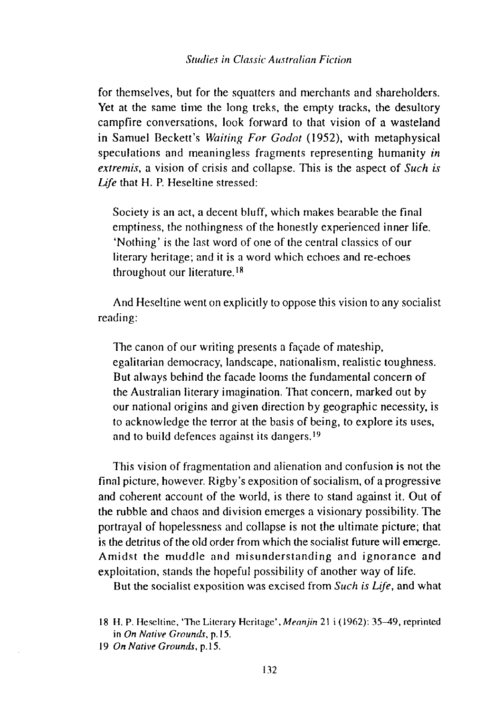for themselves, but for the squatters and merchants and shareholders. Yet at the same time the long treks, the empty tracks, the desultory campfire conversations, look forward to that vision of a wasteland in Samuel Beckett's *Waiting For Godot* (1952), with metaphysical speculations and meaningless fragments representing humanity *in extremis,* a vision of crisis and collapse. This is the aspect of *Such is*  Life that H. P. Heseltine stressed:

Society is an act, a decent bluff, which makes bearable the final emptiness, the nothingness of the honestly experienced inner life. 'Nothing' is the last word of one of the central classics of our literary heritage; and it is a word which echoes and re-echoes throughout our literature.<sup>18</sup>

And Heseltine went on explicitly to oppose this vision to any socialist reading:

The canon of our writing presents a façade of mateship, egalitarian democracy, landscape, nationalism, realistic toughness. But always behind the facade looms the fundamental concern of the Australian literary imagination. That concern, marked out by our national origins and given direction by geographic necessity, is to acknowledge the terror at the basis of being, to explore its uses, and to build defences against its dangers.<sup>19</sup>

This vision of fragmentation and alienation and confusion is not the final picture, however. Rigby's exposition of socialism, of a progressive and coherent account of the world, is there to stand against it. Out of the rubble and chaos and division emerges a visionary possibility. The portrayal of hopelessness and collapse is not the ultimate picture; that is the detritus of the old order from which the socialist future will emerge. Amidst the muddle and misunderstanding and ignorance and exploitation, stands the hopeful possibility of another way of life.

But the socialist exposition was excised from *Such is Life,* and what

<sup>18</sup> H. P. Heseltine, 'The Literary Heritage' *,Meanjin* 21 i (1962): 35--49, reprinted in *On Native Grounds*, p.15.

<sup>19</sup> *On Native Grounds,* p.IS.